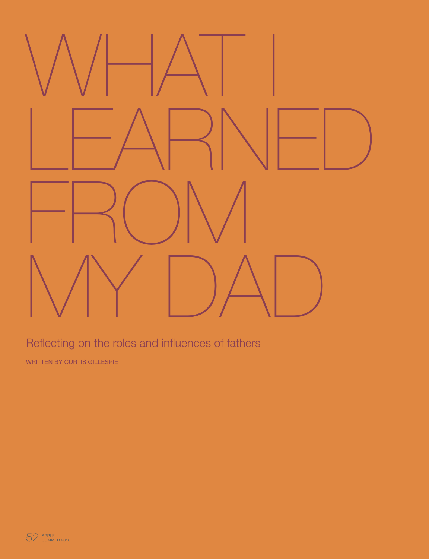

Reflecting on the roles and influences of fathers

WRITTEN BY CURTIS GILLESPIE

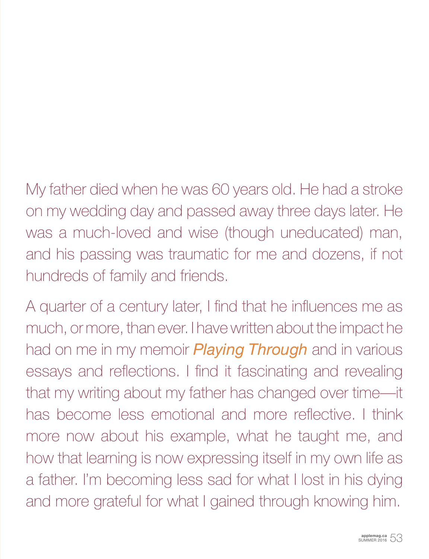My father died when he was 60 years old. He had a stroke on my wedding day and passed away three days later. He was a much-loved and wise (though uneducated) man, and his passing was traumatic for me and dozens, if not hundreds of family and friends.

A quarter of a century later, I find that he influences me as much, or more, than ever. I have written about the impact he had on me in my memoir *Playing Through* and in various essays and reflections. I find it fascinating and revealing that my writing about my father has changed over time—it has become less emotional and more reflective. I think more now about his example, what he taught me, and how that learning is now expressing itself in my own life as a father. I'm becoming less sad for what I lost in his dying and more grateful for what I gained through knowing him.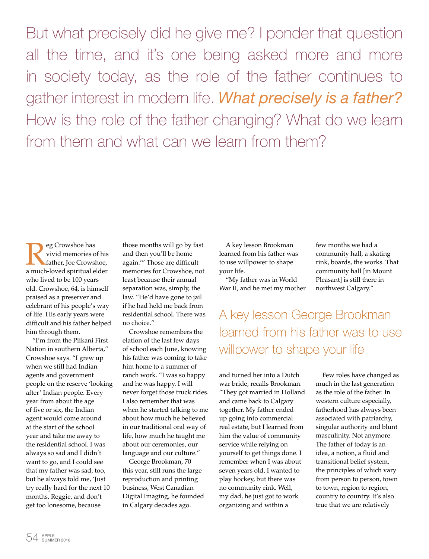But what precisely did he give me? I ponder that question all the time, and it's one being asked more and more in society today, as the role of the father continues to gather interest in modern life. *What precisely is a father?* How is the role of the father changing? What do we learn from them and what can we learn from them?

Reg Crowshoe has<br>
vivid memories of<br>
father, Joe Crowsham<br>
a much-loved spiritual expansion vivid memories of his father, Joe Crowshoe, a much-loved spiritual elder who lived to be 100 years old. Crowshoe, 64, is himself praised as a preserver and celebrant of his people's way of life. His early years were difficult and his father helped him through them.

"I'm from the Piikani First Nation in southern Alberta," Crowshoe says. "I grew up when we still had Indian agents and government people on the reserve 'looking after' Indian people. Every year from about the age of five or six, the Indian agent would come around at the start of the school year and take me away to the residential school. I was always so sad and I didn't want to go, and I could see that my father was sad, too, but he always told me, 'Just try really hard for the next 10 months, Reggie, and don't get too lonesome, because

those months will go by fast and then you'll be home again.'" Those are difficult memories for Crowshoe, not least because their annual separation was, simply, the law. "He'd have gone to jail if he had held me back from residential school. There was no choice."

Crowshoe remembers the elation of the last few days of school each June, knowing his father was coming to take him home to a summer of ranch work. "I was so happy and he was happy. I will never forget those truck rides. I also remember that was when he started talking to me about how much he believed in our traditional oral way of life, how much he taught me about our ceremonies, our language and our culture."

George Brookman, 70 this year, still runs the large reproduction and printing business, West Canadian Digital Imaging, he founded in Calgary decades ago.

A key lesson Brookman learned from his father was to use willpower to shape your life.

"My father was in World War II, and he met my mother few months we had a community hall, a skating rink, boards, the works. That community hall [in Mount Pleasant] is still there in northwest Calgary."

A key lesson George Brookman learned from his father was to use willpower to shape your life

and turned her into a Dutch war bride, recalls Brookman. "They got married in Holland and came back to Calgary together. My father ended up going into commercial real estate, but I learned from him the value of community service while relying on yourself to get things done. I remember when I was about seven years old, I wanted to play hockey, but there was no community rink. Well, my dad, he just got to work organizing and within a

Few roles have changed as much in the last generation as the role of the father. In western culture especially, fatherhood has always been associated with patriarchy, singular authority and blunt masculinity. Not anymore. The father of today is an idea, a notion, a fluid and transitional belief system, the principles of which vary from person to person, town to town, region to region, country to country. It's also true that we are relatively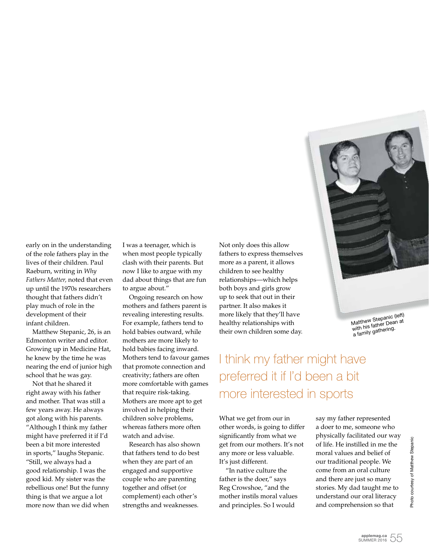

Matthew Stepanic (left)<br>with his father Dean at<br>with his sethering. a family gathering.

early on in the understanding of the role fathers play in the lives of their children. Paul Raeburn, writing in *Why Fathers Matter,* noted that even up until the 1970s researchers thought that fathers didn't play much of role in the development of their infant children.

Matthew Stepanic, 26, is an Edmonton writer and editor. Growing up in Medicine Hat, he knew by the time he was nearing the end of junior high school that he was gay.

Not that he shared it right away with his father and mother. That was still a few years away. He always got along with his parents. "Although I think my father might have preferred it if I'd been a bit more interested in sports," laughs Stepanic. "Still, we always had a good relationship. I was the good kid. My sister was the rebellious one! But the funny thing is that we argue a lot more now than we did when I was a teenager, which is when most people typically clash with their parents. But now I like to argue with my dad about things that are fun to argue about."

Ongoing research on how mothers and fathers parent is revealing interesting results. For example, fathers tend to hold babies outward, while mothers are more likely to hold babies facing inward. Mothers tend to favour games that promote connection and creativity; fathers are often more comfortable with games that require risk-taking. Mothers are more apt to get involved in helping their children solve problems, whereas fathers more often watch and advise.

Research has also shown that fathers tend to do best when they are part of an engaged and supportive couple who are parenting together and offset (or complement) each other's strengths and weaknesses.

Not only does this allow fathers to express themselves more as a parent, it allows children to see healthy relationships—which helps both boys and girls grow up to seek that out in their partner. It also makes it more likely that they'll have healthy relationships with their own children some day.

I think my father might have preferred it if I'd been a bit more interested in sports

What we get from our in other words, is going to differ significantly from what we get from our mothers. It's not any more or less valuable. It's just different.

"In native culture the father is the doer," says Reg Crowshoe, "and the mother instils moral values and principles. So I would

say my father represented a doer to me, someone who physically facilitated our way of life. He instilled in me the moral values and belief of our traditional people. We come from an oral culture and there are just so many stories. My dad taught me to understand our oral literacy and comprehension so that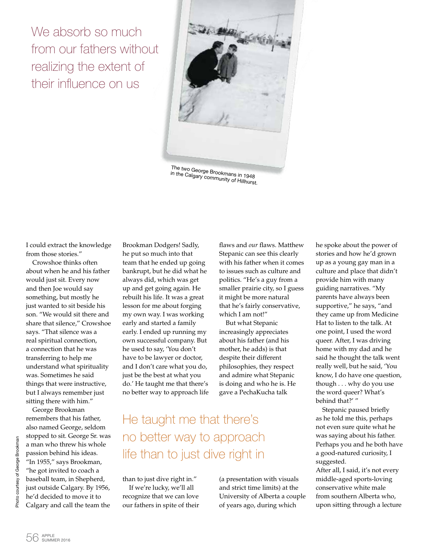We absorb so much from our fathers without realizing the extent of their influence on us



The two George Brookmans in 1948<br><sup>in the Calgary communit</sub></sup> in the Calgary community of Hillhurst.<br>Mongary community of Hillhurst.

I could extract the knowledge from those stories."

Crowshoe thinks often about when he and his father would just sit. Every now and then Joe would say something, but mostly he just wanted to sit beside his son. "We would sit there and share that silence," Crowshoe says. "That silence was a real spiritual connection, a connection that he was transferring to help me understand what spirituality was. Sometimes he said things that were instructive, but I always remember just sitting there with him."

George Brookman remembers that his father, also named George, seldom stopped to sit. George Sr. was a man who threw his whole passion behind his ideas. "In 1955," says Brookman, "he got invited to coach a baseball team, in Shepherd, just outside Calgary. By 1956, he'd decided to move it to Calgary and call the team the

Brookman Dodgers! Sadly, he put so much into that team that he ended up going bankrupt, but he did what he always did, which was get up and get going again. He rebuilt his life. It was a great lesson for me about forging my own way. I was working early and started a family early. I ended up running my own successful company. But he used to say, 'You don't have to be lawyer or doctor, and I don't care what you do, just be the best at what you do.' He taught me that there's no better way to approach life flaws and *our* flaws. Matthew Stepanic can see this clearly with his father when it comes to issues such as culture and politics. "He's a guy from a smaller prairie city, so I guess it might be more natural that he's fairly conservative, which I am not!"

But what Stepanic increasingly appreciates about his father (and his mother, he adds) is that despite their different philosophies, they respect and admire what Stepanic is doing and who he is. He gave a PechaKucha talk

## He taught me that there's no better way to approach life than to just dive right in

than to just dive right in." If we're lucky, we'll all recognize that we can love our fathers in spite of their (a presentation with visuals and strict time limits) at the University of Alberta a couple of years ago, during which

he spoke about the power of stories and how he'd grown up as a young gay man in a culture and place that didn't provide him with many guiding narratives. "My parents have always been supportive," he says, "and they came up from Medicine Hat to listen to the talk. At one point, I used the word queer. After, I was driving home with my dad and he said he thought the talk went really well, but he said, 'You know, I do have one question, though . . . why do you use the word queer? What's behind that?' "

Stepanic paused briefly as he told me this, perhaps not even sure quite what he was saying about his father. Perhaps you and he both have a good-natured curiosity, I suggested.

After all, I said, it's not every middle-aged sports-loving conservative white male from southern Alberta who, upon sitting through a lecture